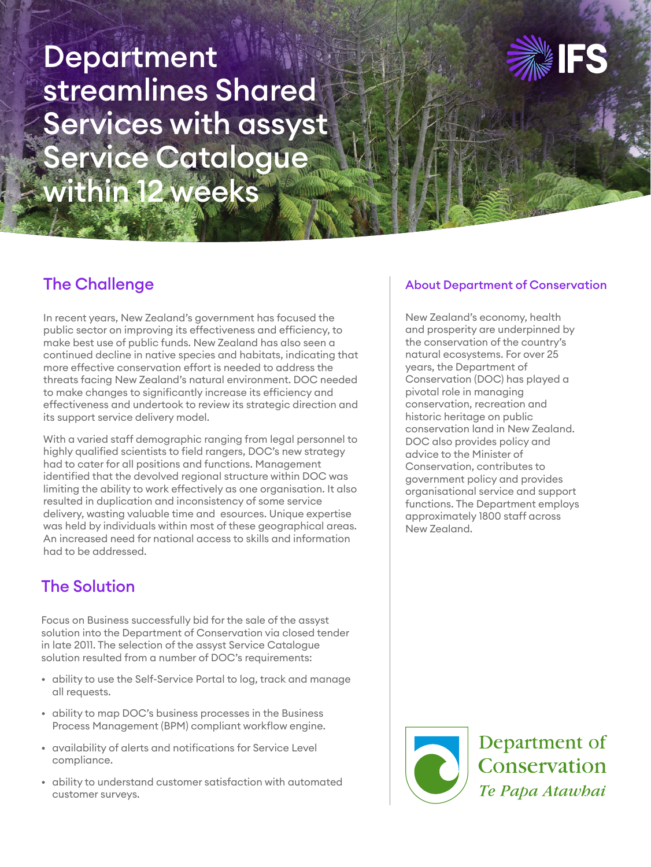# Department streamlines Shared Services with assyst Service Catalogue within 12 weeks



## The Challenge

In recent years, New Zealand's government has focused the public sector on improving its effectiveness and efficiency, to make best use of public funds. New Zealand has also seen a continued decline in native species and habitats, indicating that more effective conservation effort is needed to address the threats facing New Zealand's natural environment. DOC needed to make changes to significantly increase its efficiency and effectiveness and undertook to review its strategic direction and its support service delivery model.

With a varied staff demographic ranging from legal personnel to highly qualified scientists to field rangers, DOC's new strategy had to cater for all positions and functions. Management identified that the devolved regional structure within DOC was limiting the ability to work effectively as one organisation. It also resulted in duplication and inconsistency of some service delivery, wasting valuable time and esources. Unique expertise was held by individuals within most of these geographical areas. An increased need for national access to skills and information had to be addressed.

## The Solution

Focus on Business successfully bid for the sale of the assyst solution into the Department of Conservation via closed tender in late 2011. The selection of the assyst Service Catalogue solution resulted from a number of DOC's requirements:

- ability to use the Self-Service Portal to log, track and manage all requests.
- ability to map DOC's business processes in the Business Process Management (BPM) compliant workflow engine.
- availability of alerts and notifications for Service Level compliance.
- ability to understand customer satisfaction with automated customer surveys.

#### About Department of Conservation

New Zealand's economy, health and prosperity are underpinned by the conservation of the country's natural ecosystems. For over 25 years, the Department of Conservation (DOC) has played a pivotal role in managing conservation, recreation and historic heritage on public conservation land in New Zealand. DOC also provides policy and advice to the Minister of Conservation, contributes to government policy and provides organisational service and support functions. The Department employs approximately 1800 staff across New Zealand.



Department of Conservation Te Papa Atawhai